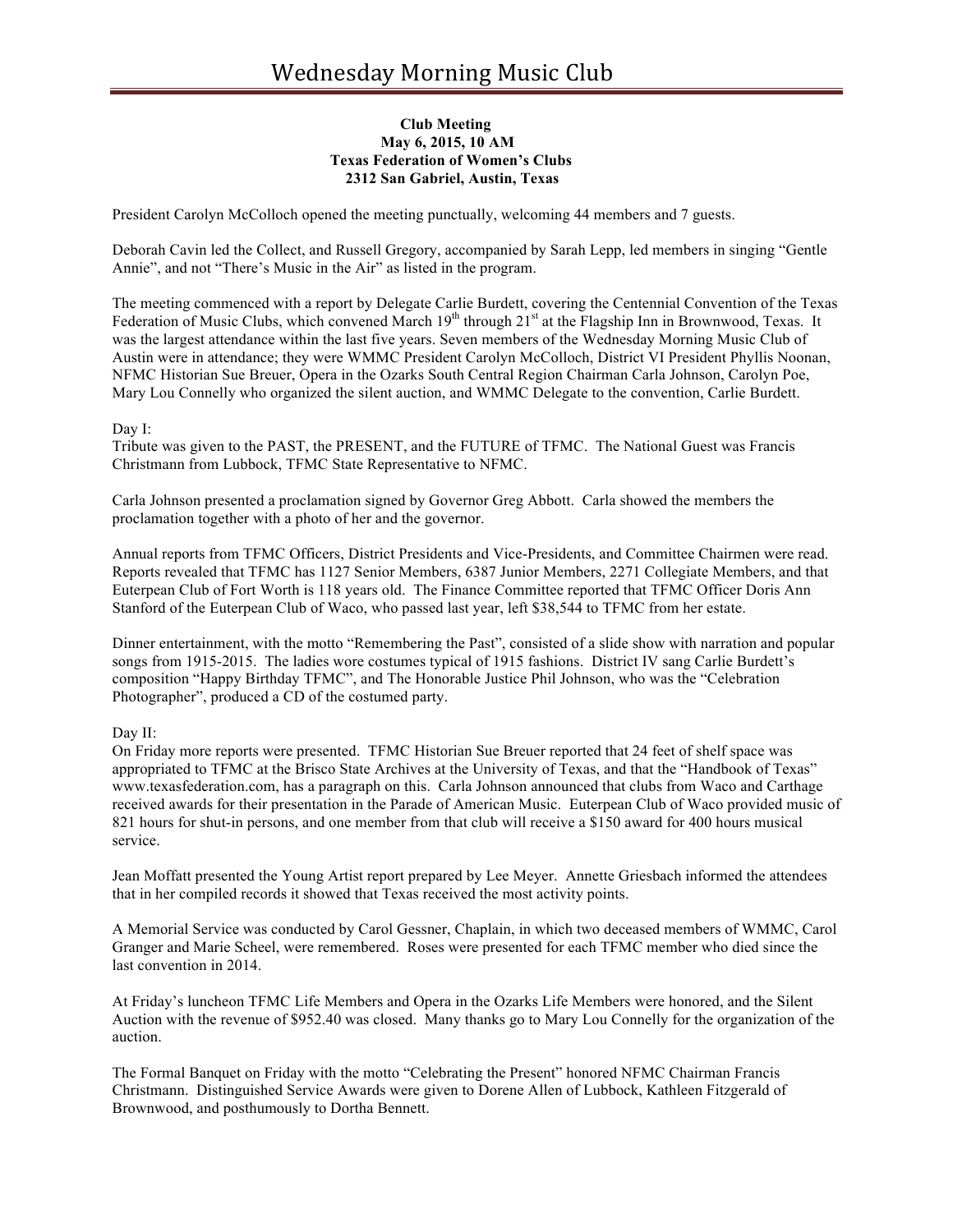## **Club Meeting May 6, 2015, 10 AM Texas Federation of Women's Clubs 2312 San Gabriel, Austin, Texas**

President Carolyn McColloch opened the meeting punctually, welcoming 44 members and 7 guests.

Deborah Cavin led the Collect, and Russell Gregory, accompanied by Sarah Lepp, led members in singing "Gentle Annie", and not "There's Music in the Air" as listed in the program.

The meeting commenced with a report by Delegate Carlie Burdett, covering the Centennial Convention of the Texas Federation of Music Clubs, which convened March 19<sup>th</sup> through 21<sup>st</sup> at the Flagship Inn in Brownwood, Texas. It was the largest attendance within the last five years. Seven members of the Wednesday Morning Music Club of Austin were in attendance; they were WMMC President Carolyn McColloch, District VI President Phyllis Noonan, NFMC Historian Sue Breuer, Opera in the Ozarks South Central Region Chairman Carla Johnson, Carolyn Poe, Mary Lou Connelly who organized the silent auction, and WMMC Delegate to the convention, Carlie Burdett.

## Day I:

Tribute was given to the PAST, the PRESENT, and the FUTURE of TFMC. The National Guest was Francis Christmann from Lubbock, TFMC State Representative to NFMC.

Carla Johnson presented a proclamation signed by Governor Greg Abbott. Carla showed the members the proclamation together with a photo of her and the governor.

Annual reports from TFMC Officers, District Presidents and Vice-Presidents, and Committee Chairmen were read. Reports revealed that TFMC has 1127 Senior Members, 6387 Junior Members, 2271 Collegiate Members, and that Euterpean Club of Fort Worth is 118 years old. The Finance Committee reported that TFMC Officer Doris Ann Stanford of the Euterpean Club of Waco, who passed last year, left \$38,544 to TFMC from her estate.

Dinner entertainment, with the motto "Remembering the Past", consisted of a slide show with narration and popular songs from 1915-2015. The ladies wore costumes typical of 1915 fashions. District IV sang Carlie Burdett's composition "Happy Birthday TFMC", and The Honorable Justice Phil Johnson, who was the "Celebration Photographer", produced a CD of the costumed party.

# Day II:

On Friday more reports were presented. TFMC Historian Sue Breuer reported that 24 feet of shelf space was appropriated to TFMC at the Brisco State Archives at the University of Texas, and that the "Handbook of Texas" www.texasfederation.com, has a paragraph on this. Carla Johnson announced that clubs from Waco and Carthage received awards for their presentation in the Parade of American Music. Euterpean Club of Waco provided music of 821 hours for shut-in persons, and one member from that club will receive a \$150 award for 400 hours musical service.

Jean Moffatt presented the Young Artist report prepared by Lee Meyer. Annette Griesbach informed the attendees that in her compiled records it showed that Texas received the most activity points.

A Memorial Service was conducted by Carol Gessner, Chaplain, in which two deceased members of WMMC, Carol Granger and Marie Scheel, were remembered. Roses were presented for each TFMC member who died since the last convention in 2014.

At Friday's luncheon TFMC Life Members and Opera in the Ozarks Life Members were honored, and the Silent Auction with the revenue of \$952.40 was closed. Many thanks go to Mary Lou Connelly for the organization of the auction.

The Formal Banquet on Friday with the motto "Celebrating the Present" honored NFMC Chairman Francis Christmann. Distinguished Service Awards were given to Dorene Allen of Lubbock, Kathleen Fitzgerald of Brownwood, and posthumously to Dortha Bennett.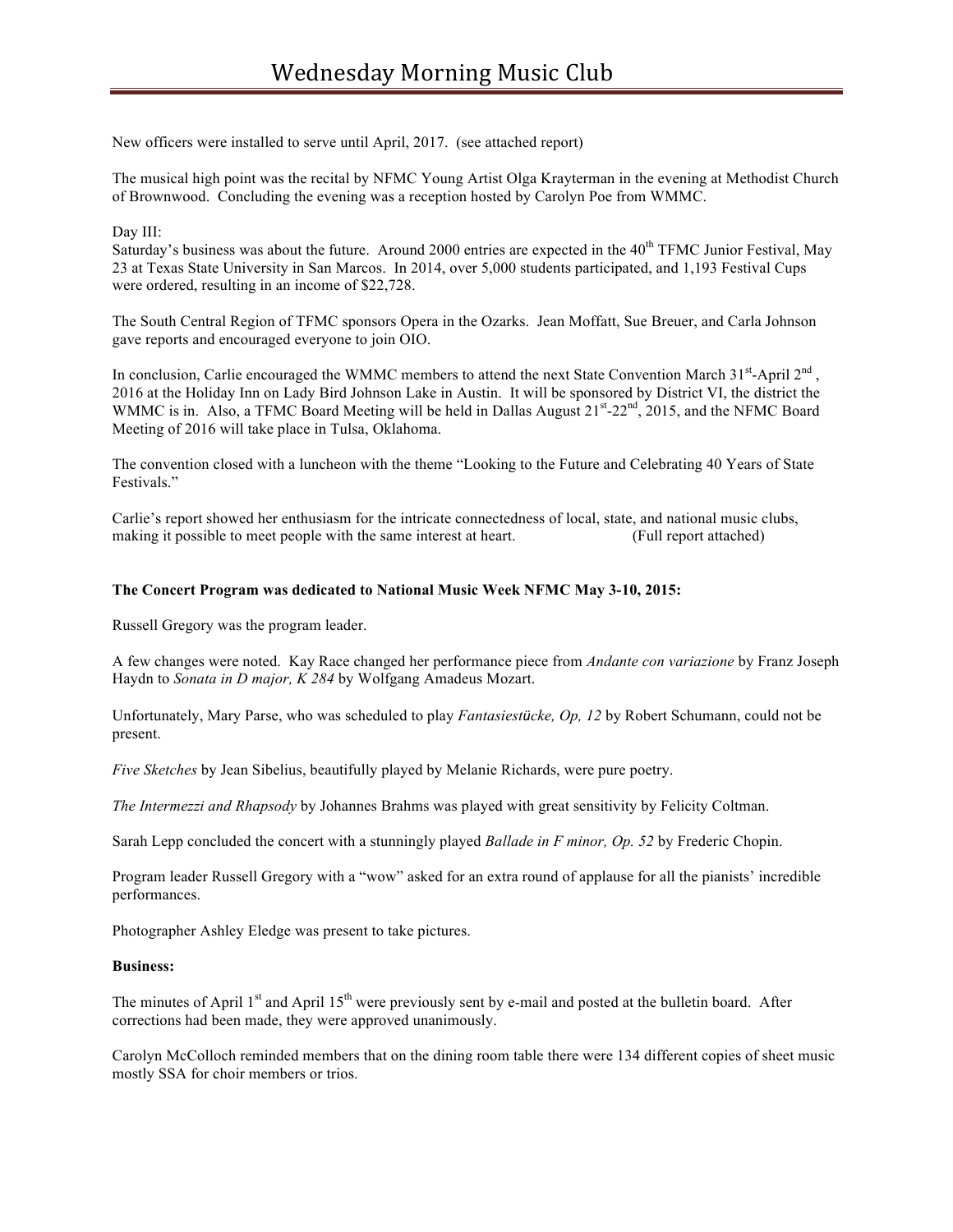New officers were installed to serve until April, 2017. (see attached report)

The musical high point was the recital by NFMC Young Artist Olga Krayterman in the evening at Methodist Church of Brownwood. Concluding the evening was a reception hosted by Carolyn Poe from WMMC.

# Day III:

Saturday's business was about the future. Around 2000 entries are expected in the 40<sup>th</sup> TFMC Junior Festival. May 23 at Texas State University in San Marcos. In 2014, over 5,000 students participated, and 1,193 Festival Cups were ordered, resulting in an income of \$22,728.

The South Central Region of TFMC sponsors Opera in the Ozarks. Jean Moffatt, Sue Breuer, and Carla Johnson gave reports and encouraged everyone to join OIO.

In conclusion, Carlie encouraged the WMMC members to attend the next State Convention March  $31^{\text{st}}$ -April  $2^{\text{nd}}$ , 2016 at the Holiday Inn on Lady Bird Johnson Lake in Austin. It will be sponsored by District VI, the district the WMMC is in. Also, a TFMC Board Meeting will be held in Dallas August 21<sup>st</sup>-22<sup>nd</sup>, 2015, and the NFMC Board Meeting of 2016 will take place in Tulsa, Oklahoma.

The convention closed with a luncheon with the theme "Looking to the Future and Celebrating 40 Years of State Festivals."

Carlie's report showed her enthusiasm for the intricate connectedness of local, state, and national music clubs, making it possible to meet people with the same interest at heart. (Full report attached)

## **The Concert Program was dedicated to National Music Week NFMC May 3-10, 2015:**

Russell Gregory was the program leader.

A few changes were noted. Kay Race changed her performance piece from *Andante con variazione* by Franz Joseph Haydn to *Sonata in D major, K 284* by Wolfgang Amadeus Mozart.

Unfortunately, Mary Parse, who was scheduled to play *Fantasiestücke, Op, 12* by Robert Schumann, could not be present.

*Five Sketches* by Jean Sibelius, beautifully played by Melanie Richards, were pure poetry.

*The Intermezzi and Rhapsody* by Johannes Brahms was played with great sensitivity by Felicity Coltman.

Sarah Lepp concluded the concert with a stunningly played *Ballade in F minor, Op. 52* by Frederic Chopin.

Program leader Russell Gregory with a "wow" asked for an extra round of applause for all the pianists' incredible performances.

Photographer Ashley Eledge was present to take pictures.

### **Business:**

The minutes of April  $1<sup>st</sup>$  and April  $15<sup>th</sup>$  were previously sent by e-mail and posted at the bulletin board. After corrections had been made, they were approved unanimously.

Carolyn McColloch reminded members that on the dining room table there were 134 different copies of sheet music mostly SSA for choir members or trios.